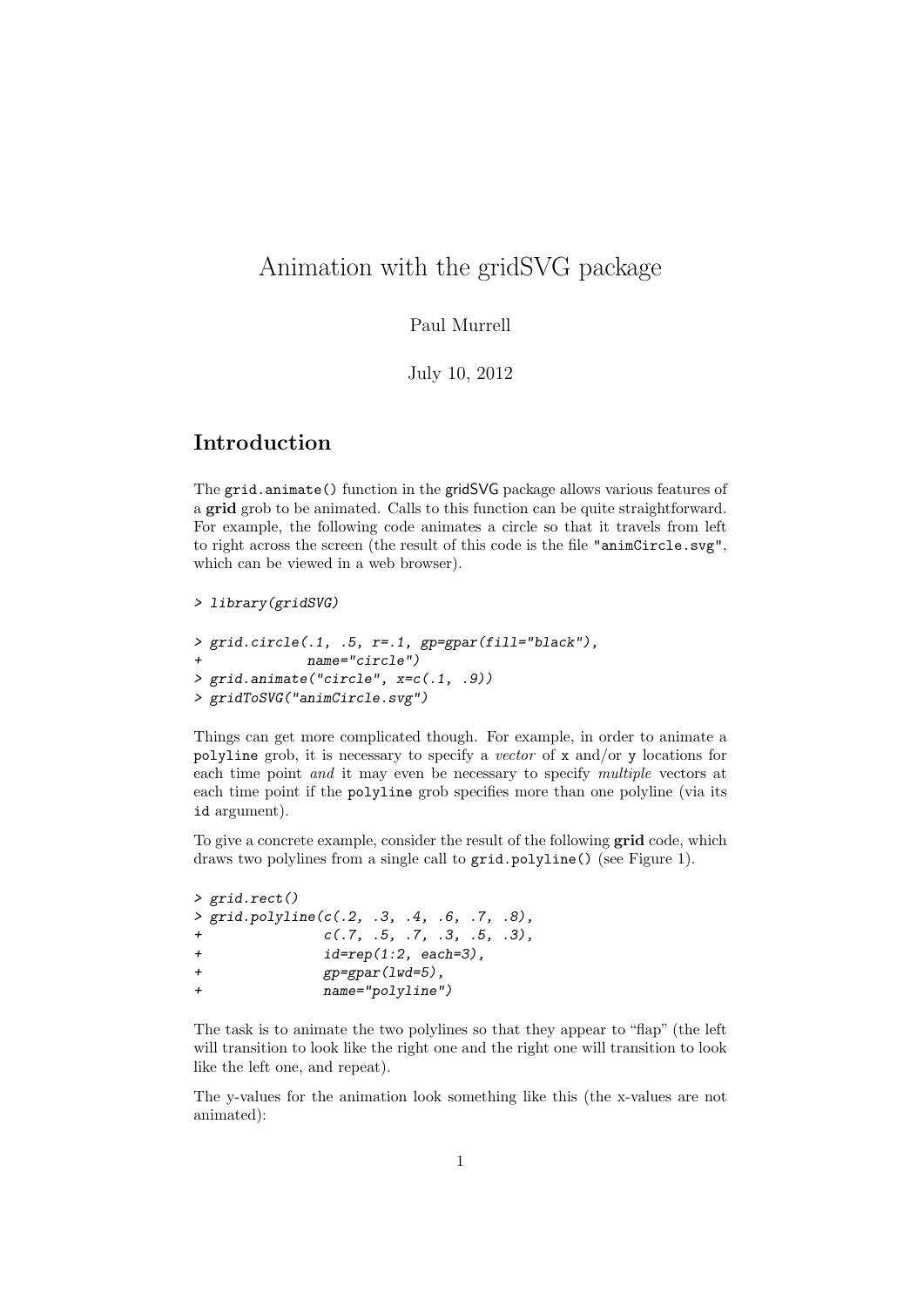# Animation with the gridSVG package

#### Paul Murrell

July 10, 2012

### Introduction

The grid.animate() function in the gridSVG package allows various features of a grid grob to be animated. Calls to this function can be quite straightforward. For example, the following code animates a circle so that it travels from left to right across the screen (the result of this code is the file "animCircle.svg", which can be viewed in a web browser).

```
> library(gridSVG)
```

```
> grid.circle(.1, .5, r=.1, gp=gpar(fill="black").name="circle")
> grid.animate("circle", x=c(.1, .9))
> gridToSVG("animCircle.svg")
```
Things can get more complicated though. For example, in order to animate a polyline grob, it is necessary to specify a vector of x and/or y locations for each time point and it may even be necessary to specify multiple vectors at each time point if the polyline grob specifies more than one polyline (via its id argument).

To give a concrete example, consider the result of the following grid code, which draws two polylines from a single call to grid.polyline() (see Figure 1).

```
> grid.rect()
> grid.polyline(c(.2, .3, .4, .6, .7, .8),
c(.7, .5, .7, .3, .5, .3),
+ id=rep(1:2, each=3),
+ gp=gpar(lwd=5),
+ name="polyline")
```
The task is to animate the two polylines so that they appear to "flap" (the left will transition to look like the right one and the right one will transition to look like the left one, and repeat).

The y-values for the animation look something like this (the x-values are not animated):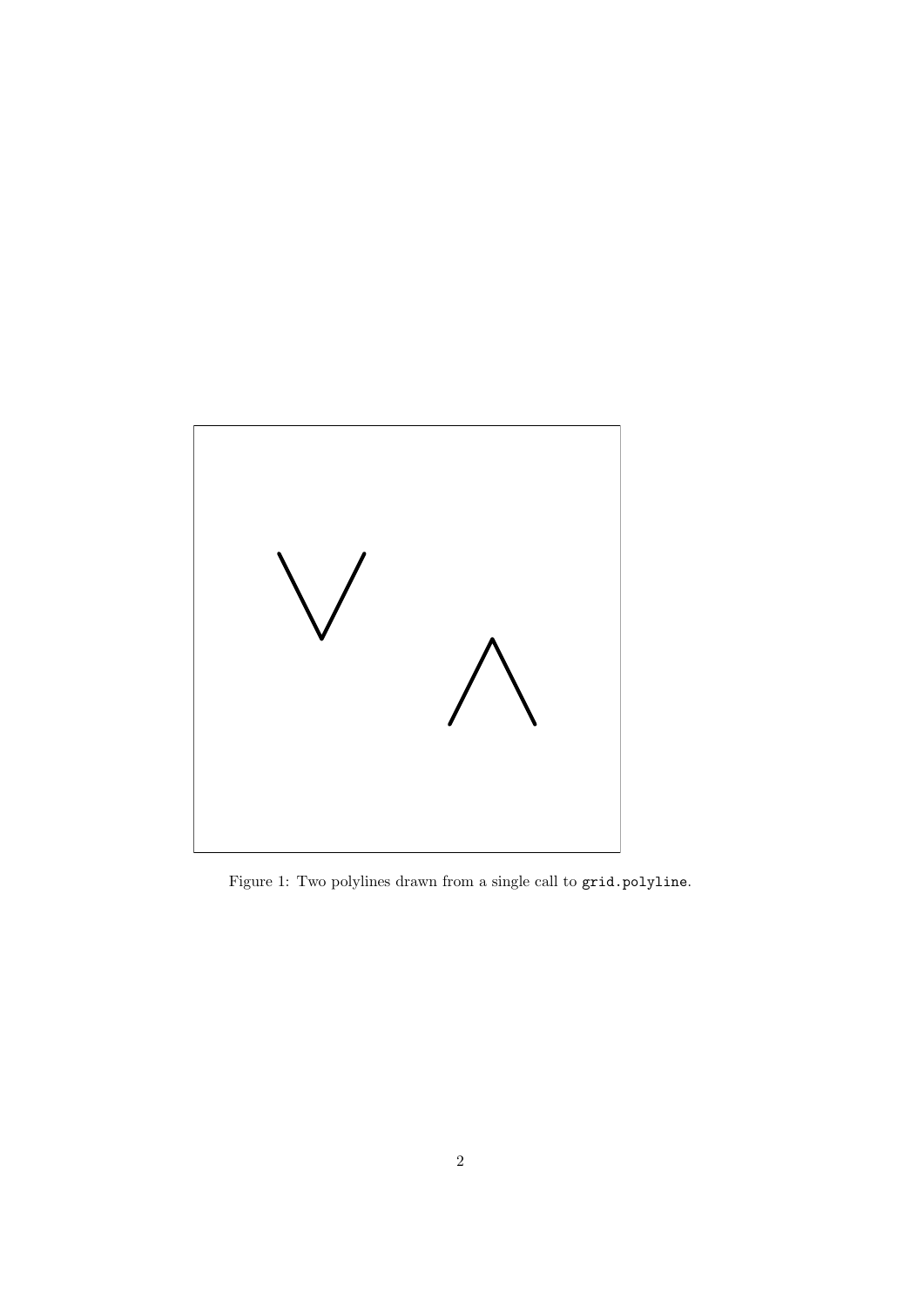

Figure 1: Two polylines drawn from a single call to grid.polyline.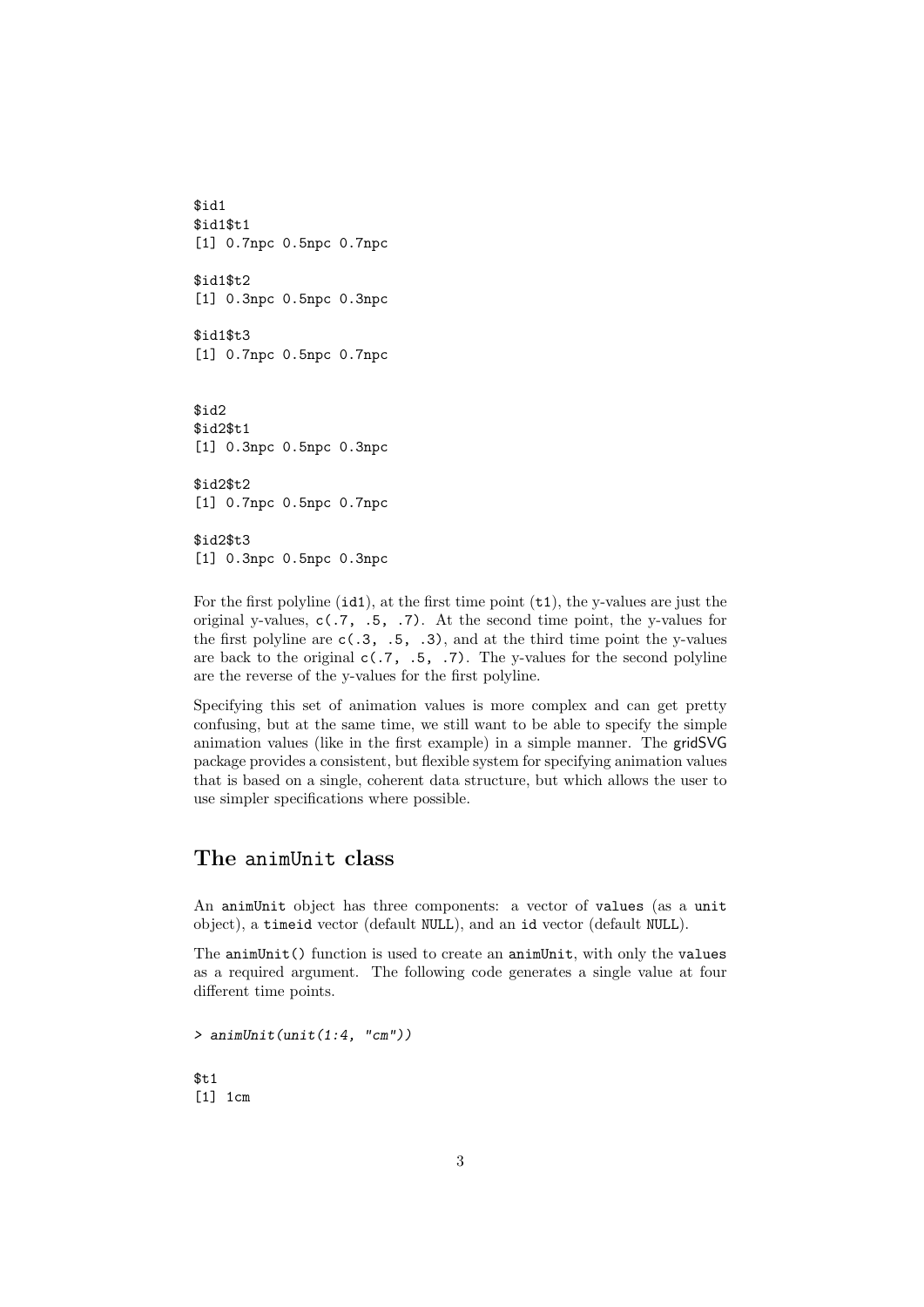\$id1 \$id1\$t1 [1] 0.7npc 0.5npc 0.7npc \$id1\$t2 [1] 0.3npc 0.5npc 0.3npc \$id1\$t3 [1] 0.7npc 0.5npc 0.7npc \$id2 \$id2\$t1 [1] 0.3npc 0.5npc 0.3npc \$id2\$t2 [1] 0.7npc 0.5npc 0.7npc \$id2\$t3 [1] 0.3npc 0.5npc 0.3npc

For the first polyline  $(id1)$ , at the first time point  $(t1)$ , the y-values are just the original y-values,  $c(.7, .5, .7)$ . At the second time point, the y-values for the first polyline are  $c(.3, .5, .3)$ , and at the third time point the y-values are back to the original  $c(.7, .5, .7)$ . The y-values for the second polyline are the reverse of the y-values for the first polyline.

Specifying this set of animation values is more complex and can get pretty confusing, but at the same time, we still want to be able to specify the simple animation values (like in the first example) in a simple manner. The gridSVG package provides a consistent, but flexible system for specifying animation values that is based on a single, coherent data structure, but which allows the user to use simpler specifications where possible.

### The animUnit class

An animUnit object has three components: a vector of values (as a unit object), a timeid vector (default NULL), and an id vector (default NULL).

The animUnit() function is used to create an animUnit, with only the values as a required argument. The following code generates a single value at four different time points.

 $>$  animUnit(unit(1:4, "cm"))  $$t1$ 

[1] 1cm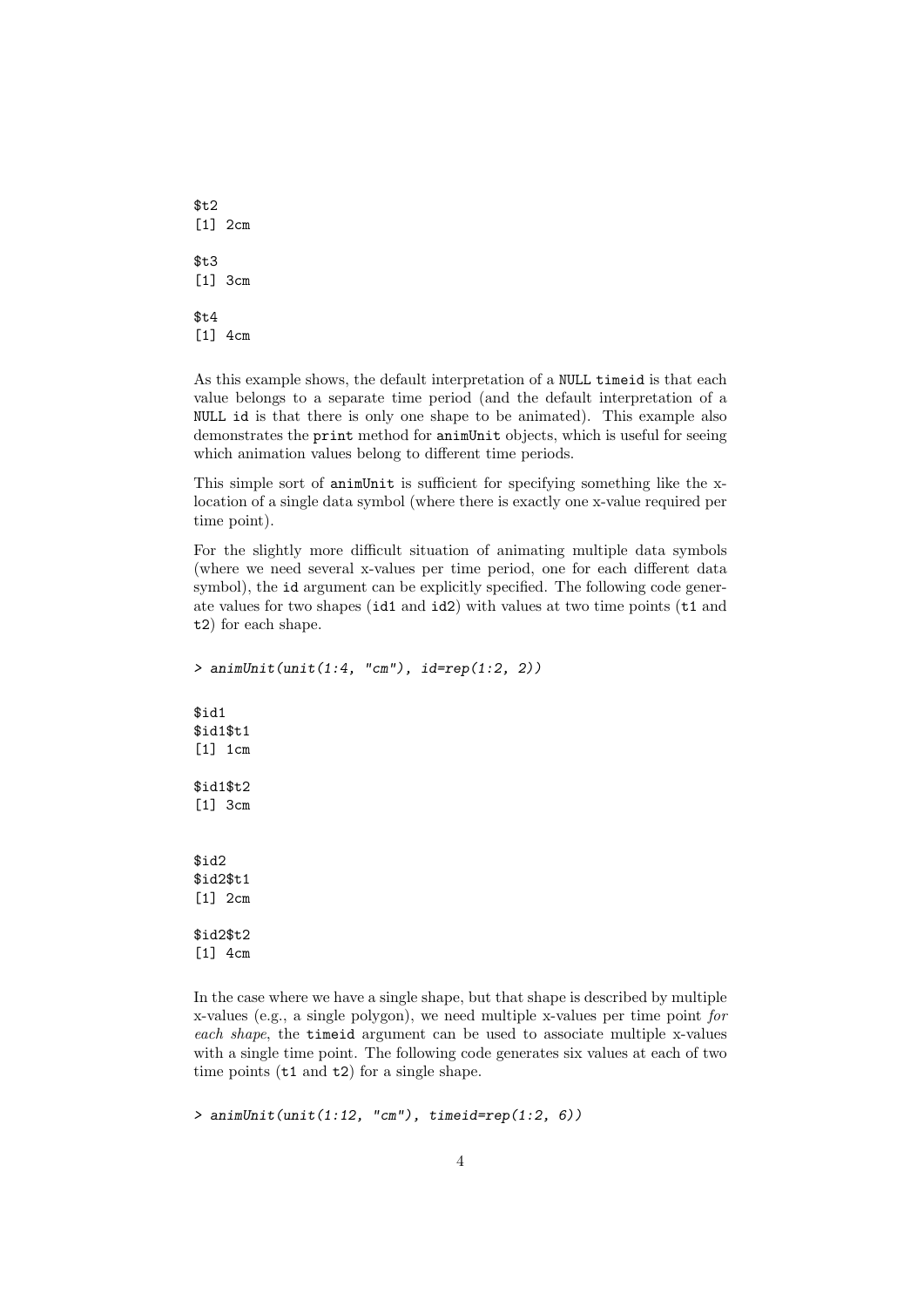\$t2 [1] 2cm  $$t3$ [1] 3cm  $$t4$ [1] 4cm

 $\lceil 1 \rceil$  4cm

As this example shows, the default interpretation of a NULL timeid is that each value belongs to a separate time period (and the default interpretation of a NULL id is that there is only one shape to be animated). This example also demonstrates the print method for animUnit objects, which is useful for seeing which animation values belong to different time periods.

This simple sort of animUnit is sufficient for specifying something like the xlocation of a single data symbol (where there is exactly one x-value required per time point).

For the slightly more difficult situation of animating multiple data symbols (where we need several x-values per time period, one for each different data symbol), the id argument can be explicitly specified. The following code generate values for two shapes (id1 and id2) with values at two time points (t1 and t2) for each shape.

```
> animUnit(unit(1:4, "cm"), id=rep(1:2, 2))
$id1
$id1$t1
[1] 1cm
$id1$t2
[1] 3cm
$id2
$id2$t1
[1] 2cm
$id2$t2
```
In the case where we have a single shape, but that shape is described by multiple x-values (e.g., a single polygon), we need multiple x-values per time point for each shape, the timeid argument can be used to associate multiple x-values with a single time point. The following code generates six values at each of two time points (t1 and t2) for a single shape.

 $>$  animUnit(unit(1:12, "cm"), timeid=rep(1:2, 6))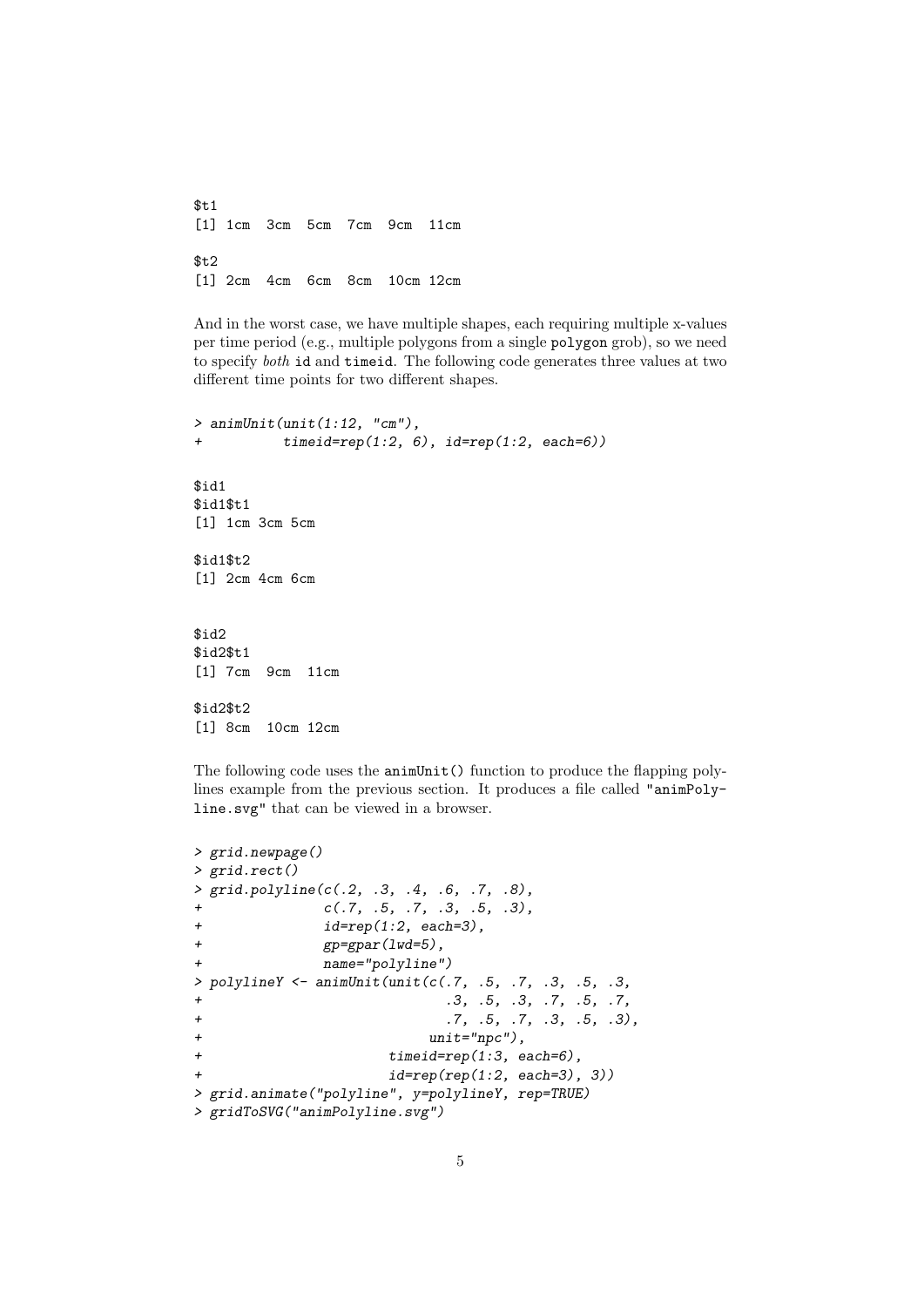$$t1$ [1] 1cm 3cm 5cm 7cm 9cm 11cm \$t2 [1] 2cm 4cm 6cm 8cm 10cm 12cm

And in the worst case, we have multiple shapes, each requiring multiple x-values per time period (e.g., multiple polygons from a single polygon grob), so we need to specify both id and timeid. The following code generates three values at two different time points for two different shapes.

```
> animUnit(unit(1:12, "cm"),
+ timeid=rep(1:2, 6), id=rep(1:2, each=6))
$id1
$id1$t1
[1] 1cm 3cm 5cm
$id1$t2
[1] 2cm 4cm 6cm
$id2
$id2$t1
[1] 7cm 9cm 11cm
$id2$t2
[1] 8cm 10cm 12cm
```
The following code uses the animUnit() function to produce the flapping polylines example from the previous section. It produces a file called "animPolyline.svg" that can be viewed in a browser.

```
> grid.newpage()
> grid.rect()
> grid.polyline(c(.2, .3, .4, .6, .7, .8),
+ c(.7, .5, .7, .3, .5, .3),
+ id = rep(1:2, each = 3),
+ gp=gpar(lwd=5),
+ name="polyline")
> polylineY <- animUnit(unit(c(.7, .5, .7, .3, .5, .3,
+ .3, .5, .3, .7, .5, .7,
+ .7, .5, .7, .3, .5, .3),
+ unit="npc"),
+ timeid=rep(1:3, each=6),
+ id=rep(rep(1:2, each=3), 3))
> grid.animate("polyline", y=polylineY, rep=TRUE)
> gridToSVG("animPolyline.svg")
```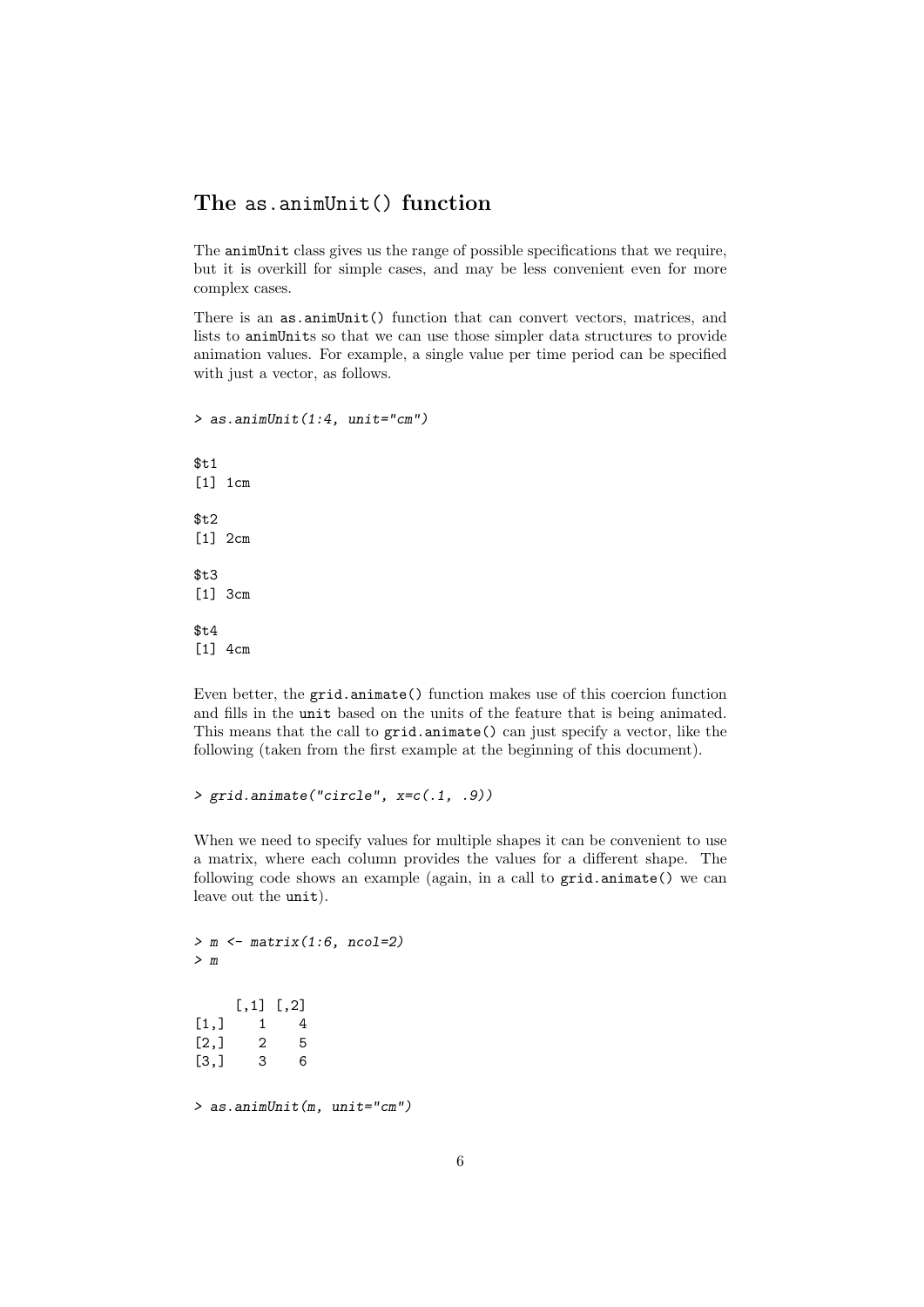### The as.animUnit() function

The animUnit class gives us the range of possible specifications that we require, but it is overkill for simple cases, and may be less convenient even for more complex cases.

There is an as.animUnit() function that can convert vectors, matrices, and lists to animUnits so that we can use those simpler data structures to provide animation values. For example, a single value per time period can be specified with just a vector, as follows.

 $>$  as.animUnit(1:4, unit="cm")  $$t.1$ [1] 1cm \$t2 [1] 2cm  $$t.3$ [1] 3cm \$t4 [1] 4cm

Even better, the grid.animate() function makes use of this coercion function and fills in the unit based on the units of the feature that is being animated. This means that the call to grid.animate() can just specify a vector, like the following (taken from the first example at the beginning of this document).

```
> grid.animate("circle", x=c(.1, .9))
```
When we need to specify values for multiple shapes it can be convenient to use a matrix, where each column provides the values for a different shape. The following code shows an example (again, in a call to grid.animate() we can leave out the unit).

 $> m \le$  matrix(1:6, ncol=2) > m [,1] [,2]  $[1,] 1 4$  $[2,] 2 5$ [3,] 3 6 > as.animUnit(m, unit="cm")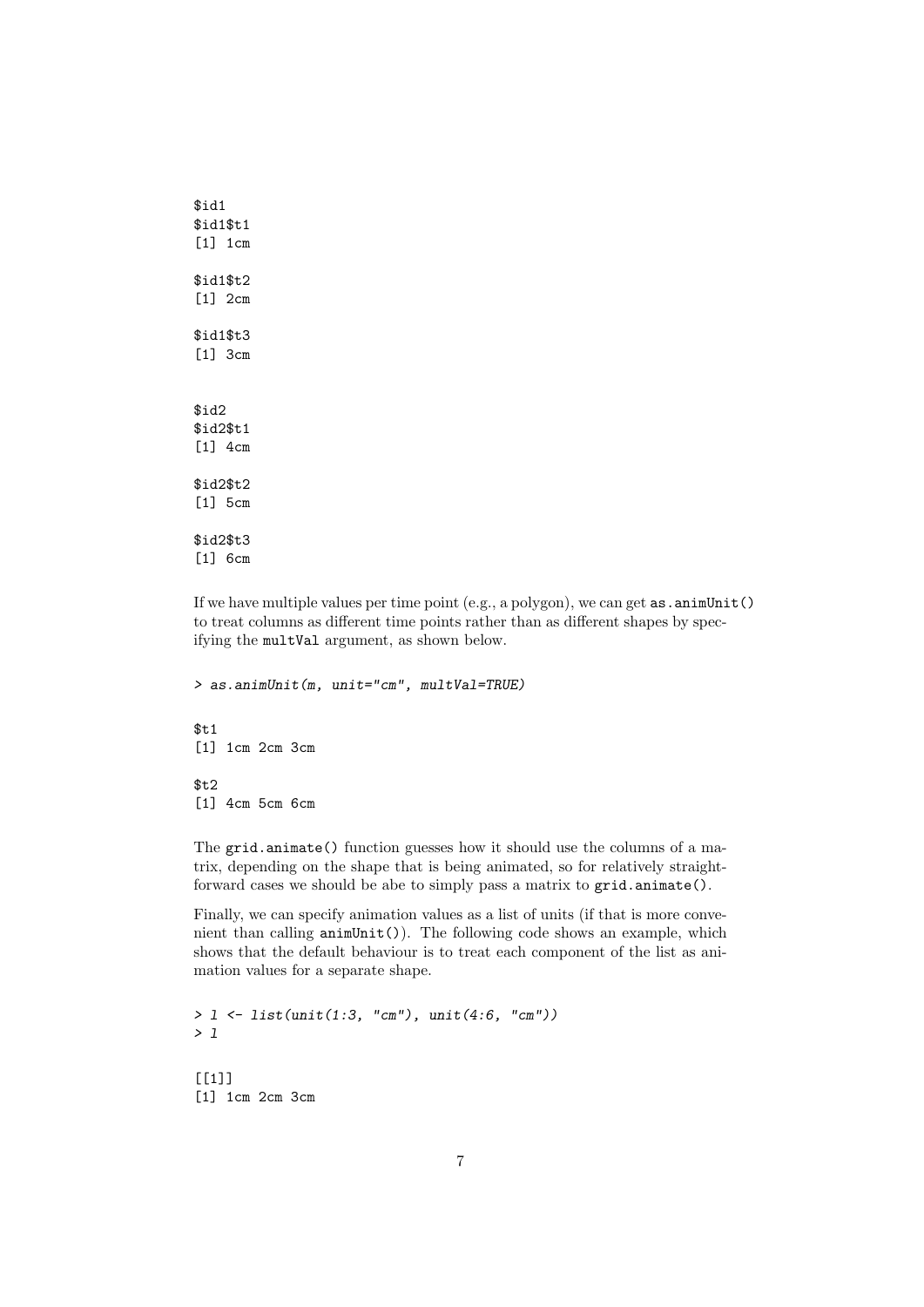\$id1 \$id1\$t1 [1] 1cm \$id1\$t2 [1] 2cm \$id1\$t3 [1] 3cm \$id2 \$id2\$t1 [1] 4cm \$id2\$t2 [1] 5cm \$id2\$t3 [1] 6cm

If we have multiple values per time point (e.g., a polygon), we can get  $as {\tt .animUnit()}$ to treat columns as different time points rather than as different shapes by specifying the multVal argument, as shown below.

```
> as.animUnit(m, unit="cm", multVal=TRUE)
$t1[1] 1cm 2cm 3cm
$t2[1] 4cm 5cm 6cm
```
The grid.animate() function guesses how it should use the columns of a matrix, depending on the shape that is being animated, so for relatively straightforward cases we should be abe to simply pass a matrix to grid.animate().

Finally, we can specify animation values as a list of units (if that is more convenient than calling animUnit()). The following code shows an example, which shows that the default behaviour is to treat each component of the list as animation values for a separate shape.

```
> 1 <- list(unit(1:3, "cm"), unit(4:6, "cm"))
> l
[[1]]
[1] 1cm 2cm 3cm
```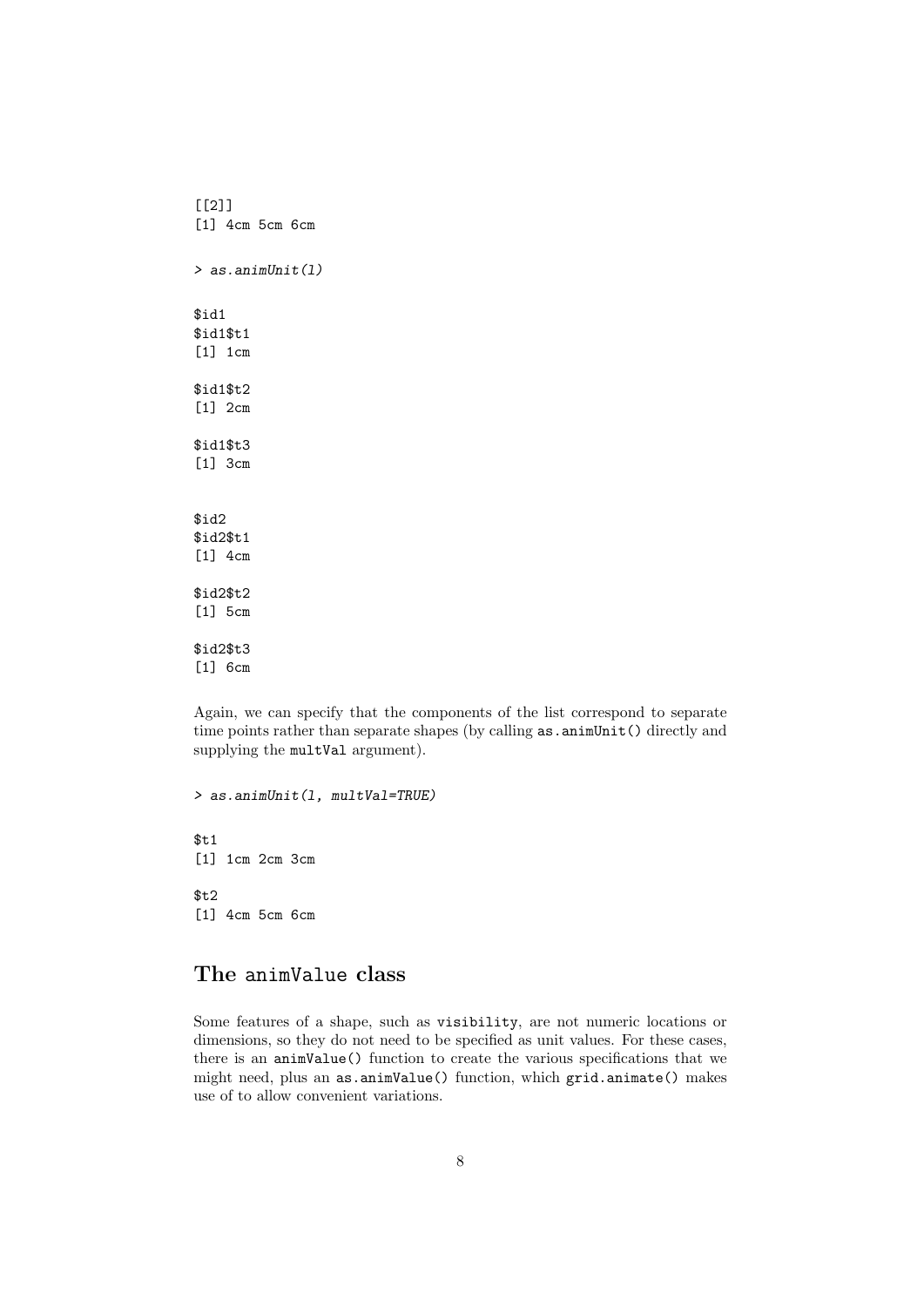[[2]] [1] 4cm 5cm 6cm > as.animUnit(l) \$id1 \$id1\$t1 [1] 1cm \$id1\$t2 [1] 2cm \$id1\$t3 [1] 3cm \$id2 \$id2\$t1 [1] 4cm \$id2\$t2 [1] 5cm \$id2\$t3 [1] 6cm

Again, we can specify that the components of the list correspond to separate time points rather than separate shapes (by calling as.animUnit() directly and supplying the multVal argument).

> as.animUnit(l, multVal=TRUE)  $$t1$ [1] 1cm 2cm 3cm  $$t.2$ [1] 4cm 5cm 6cm

## The animValue class

Some features of a shape, such as visibility, are not numeric locations or dimensions, so they do not need to be specified as unit values. For these cases, there is an animValue() function to create the various specifications that we might need, plus an as.animValue() function, which grid.animate() makes use of to allow convenient variations.